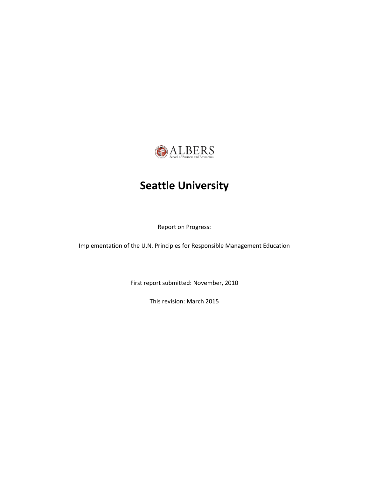

# **Seattle University**

Report on Progress:

Implementation of the U.N. Principles for Responsible Management Education

First report submitted: November, 2010

This revision: March 2015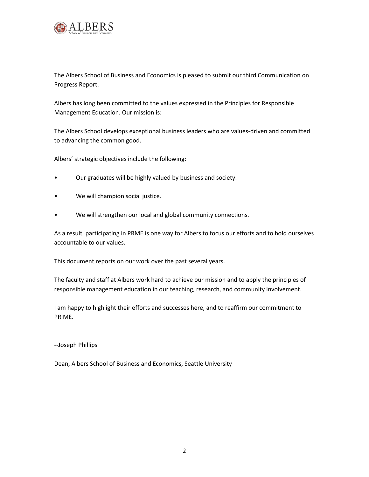

The Albers School of Business and Economics is pleased to submit our third Communication on Progress Report.

Albers has long been committed to the values expressed in the Principles for Responsible Management Education. Our mission is:

The Albers School develops exceptional business leaders who are values-driven and committed to advancing the common good.

Albers' strategic objectives include the following:

- Our graduates will be highly valued by business and society.
- We will champion social justice.
- We will strengthen our local and global community connections.

As a result, participating in PRME is one way for Albers to focus our efforts and to hold ourselves accountable to our values.

This document reports on our work over the past several years.

The faculty and staff at Albers work hard to achieve our mission and to apply the principles of responsible management education in our teaching, research, and community involvement.

I am happy to highlight their efforts and successes here, and to reaffirm our commitment to PRIME.

--Joseph Phillips

Dean, Albers School of Business and Economics, Seattle University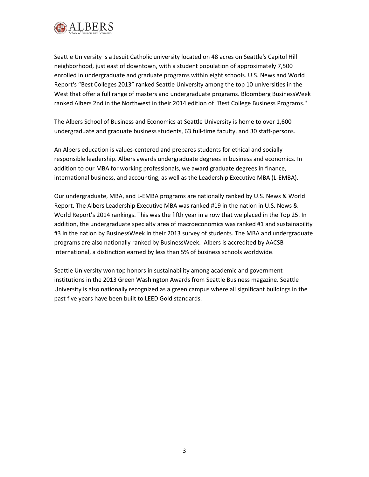

Seattle University is a Jesuit Catholic university located on 48 acres on Seattle's Capitol Hill neighborhood, just east of downtown, with a student population of approximately 7,500 enrolled in undergraduate and graduate programs within eight schools. U.S. News and World Report's "Best Colleges 2013" ranked Seattle University among the top 10 universities in the West that offer a full range of masters and undergraduate programs. Bloomberg BusinessWeek ranked Albers 2nd in the Northwest in their 2014 edition of "Best College Business Programs."

The Albers School of Business and Economics at Seattle University is home to over 1,600 undergraduate and graduate business students, 63 full-time faculty, and 30 staff-persons.

An Albers education is values-centered and prepares students for ethical and socially responsible leadership. Albers awards undergraduate degrees in business and economics. In addition to our MBA for working professionals, we award graduate degrees in finance, international business, and accounting, as well as the Leadership Executive MBA (L-EMBA).

Our undergraduate, MBA, and L-EMBA programs are nationally ranked by U.S. News & World Report. The Albers Leadership Executive MBA was ranked #19 in the nation in U.S. News & World Report's 2014 rankings. This was the fifth year in a row that we placed in the Top 25. In addition, the undergraduate specialty area of macroeconomics was ranked #1 and sustainability #3 in the nation by BusinessWeek in their 2013 survey of students. The MBA and undergraduate programs are also nationally ranked by BusinessWeek. Albers is accredited by AACSB International, a distinction earned by less than 5% of business schools worldwide.

Seattle University won top honors in sustainability among academic and government institutions in the 2013 Green Washington Awards from Seattle Business magazine. Seattle University is also nationally recognized as a green campus where all significant buildings in the past five years have been built to LEED Gold standards.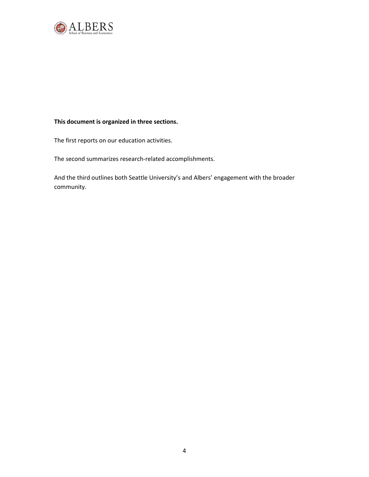

## **This document is organized in three sections.**

The first reports on our education activities.

The second summarizes research-related accomplishments.

And the third outlines both Seattle University's and Albers' engagement with the broader community.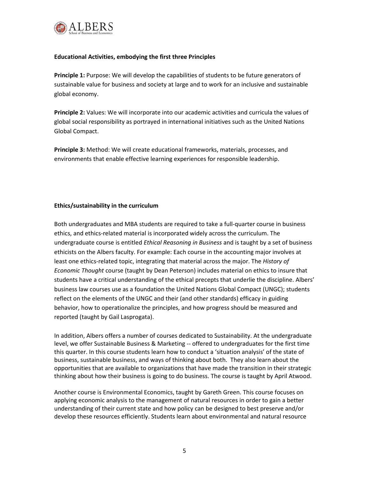

## **Educational Activities, embodying the first three Principles**

**Principle 1:** Purpose: We will develop the capabilities of students to be future generators of sustainable value for business and society at large and to work for an inclusive and sustainable global economy.

**Principle 2:** Values: We will incorporate into our academic activities and curricula the values of global social responsibility as portrayed in international initiatives such as the United Nations Global Compact.

**Principle 3:** Method: We will create educational frameworks, materials, processes, and environments that enable effective learning experiences for responsible leadership.

## **Ethics/sustainability in the curriculum**

Both undergraduates and MBA students are required to take a full-quarter course in business ethics, and ethics-related material is incorporated widely across the curriculum. The undergraduate course is entitled *Ethical Reasoning in Business* and is taught by a set of business ethicists on the Albers faculty. For example: Each course in the accounting major involves at least one ethics-related topic, integrating that material across the major. The *History of Economic Thought* course (taught by Dean Peterson) includes material on ethics to insure that students have a critical understanding of the ethical precepts that underlie the discipline. Albers' business law courses use as a foundation the United Nations Global Compact (UNGC); students reflect on the elements of the UNGC and their (and other standards) efficacy in guiding behavior, how to operationalize the principles, and how progress should be measured and reported (taught by Gail Lasprogata).

In addition, Albers offers a number of courses dedicated to Sustainability. At the undergraduate level, we offer Sustainable Business & Marketing -- offered to undergraduates for the first time this quarter. In this course students learn how to conduct a 'situation analysis' of the state of business, sustainable business, and ways of thinking about both. They also learn about the opportunities that are available to organizations that have made the transition in their strategic thinking about how their business is going to do business. The course is taught by April Atwood.

Another course is Environmental Economics, taught by Gareth Green. This course focuses on applying economic analysis to the management of natural resources in order to gain a better understanding of their current state and how policy can be designed to best preserve and/or develop these resources efficiently. Students learn about environmental and natural resource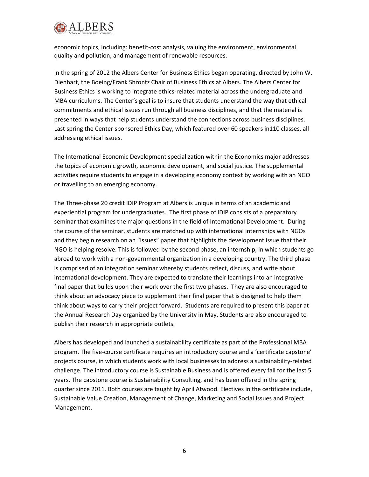

economic topics, including: benefit-cost analysis, valuing the environment, environmental quality and pollution, and management of renewable resources.

In the spring of 2012 the Albers Center for Business Ethics began operating, directed by John W. Dienhart, the Boeing/Frank Shrontz Chair of Business Ethics at Albers. The Albers Center for Business Ethics is working to integrate ethics-related material across the undergraduate and MBA curriculums. The Center's goal is to insure that students understand the way that ethical commitments and ethical issues run through all business disciplines, and that the material is presented in ways that help students understand the connections across business disciplines. Last spring the Center sponsored Ethics Day, which featured over 60 speakers in110 classes, all addressing ethical issues.

The International Economic Development specialization within the Economics major addresses the topics of economic growth, economic development, and social justice. The supplemental activities require students to engage in a developing economy context by working with an NGO or travelling to an emerging economy.

The Three-phase 20 credit IDIP Program at Albers is unique in terms of an academic and experiential program for undergraduates. The first phase of IDIP consists of a preparatory seminar that examines the major questions in the field of International Development. During the course of the seminar, students are matched up with international internships with NGOs and they begin research on an "Issues" paper that highlights the development issue that their NGO is helping resolve. This is followed by the second phase, an internship, in which students go abroad to work with a non-governmental organization in a developing country. The third phase is comprised of an integration seminar whereby students reflect, discuss, and write about international development. They are expected to translate their learnings into an integrative final paper that builds upon their work over the first two phases. They are also encouraged to think about an advocacy piece to supplement their final paper that is designed to help them think about ways to carry their project forward. Students are required to present this paper at the Annual Research Day organized by the University in May. Students are also encouraged to publish their research in appropriate outlets.

Albers has developed and launched a sustainability certificate as part of the Professional MBA program. The five-course certificate requires an introductory course and a 'certificate capstone' projects course, in which students work with local businesses to address a sustainability-related challenge. The introductory course is Sustainable Business and is offered every fall for the last 5 years. The capstone course is Sustainability Consulting, and has been offered in the spring quarter since 2011. Both courses are taught by April Atwood. Electives in the certificate include, Sustainable Value Creation, Management of Change, Marketing and Social Issues and Project Management.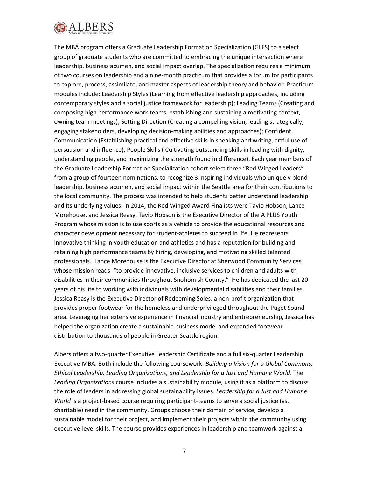

The MBA program offers a Graduate Leadership Formation Specialization (GLFS) to a select group of graduate students who are committed to embracing the unique intersection where leadership, business acumen, and social impact overlap. The specialization requires a minimum of two courses on leadership and a nine-month practicum that provides a forum for participants to explore, process, assimilate, and master aspects of leadership theory and behavior. Practicum modules include: Leadership Styles (Learning from effective leadership approaches, including contemporary styles and a social justice framework for leadership); Leading Teams (Creating and composing high performance work teams, establishing and sustaining a motivating context, owning team meetings); Setting Direction (Creating a compelling vision, leading strategically, engaging stakeholders, developing decision-making abilities and approaches); Confident Communication (Establishing practical and effective skills in speaking and writing, artful use of persuasion and influence); People Skills ( Cultivating outstanding skills in leading with dignity, understanding people, and maximizing the strength found in difference). Each year members of the Graduate Leadership Formation Specialization cohort select three "Red Winged Leaders" from a group of fourteen nominations, to recognize 3 inspiring individuals who uniquely blend leadership, business acumen, and social impact within the Seattle area for their contributions to the local community. The process was intended to help students better understand leadership and its underlying values. In 2014, the Red Winged Award Finalists were Tavio Hobson, Lance Morehouse, and Jessica Reasy. Tavio Hobson is the Executive Director of the A PLUS Youth Program whose mission is to use sports as a vehicle to provide the educational resources and character development necessary for student-athletes to succeed in life. He represents innovative thinking in youth education and athletics and has a reputation for building and retaining high performance teams by hiring, developing, and motivating skilled talented professionals. Lance Morehouse is the Executive Director at Sherwood Community Services whose mission reads, "to provide innovative, inclusive services to children and adults with disabilities in their communities throughout Snohomish County." He has dedicated the last 20 years of his life to working with individuals with developmental disabilities and their families. Jessica Reasy is the Executive Director of Redeeming Soles, a non-profit organization that provides proper footwear for the homeless and underprivileged throughout the Puget Sound area. Leveraging her extensive experience in financial industry and entrepreneurship, Jessica has helped the organization create a sustainable business model and expanded footwear distribution to thousands of people in Greater Seattle region.

Albers offers a two-quarter Executive Leadership Certificate and a full six-quarter Leadership Executive-MBA. Both include the following coursework: *Building a Vision for a Global Commons, Ethical Leadership, Leading Organizations, and Leadership for a Just and Humane World*. The *Leading Organizations* course includes a sustainability module, using it as a platform to discuss the role of leaders in addressing global sustainability issues. *Leadership for a Just and Humane World* is a project-based course requiring participant-teams to serve a social justice (vs. charitable) need in the community. Groups choose their domain of service, develop a sustainable model for their project, and implement their projects within the community using executive-level skills. The course provides experiences in leadership and teamwork against a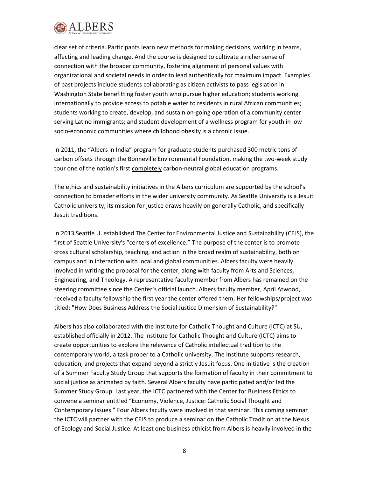

clear set of criteria. Participants learn new methods for making decisions, working in teams, affecting and leading change. And the course is designed to cultivate a richer sense of connection with the broader community, fostering alignment of personal values with organizational and societal needs in order to lead authentically for maximum impact. Examples of past projects include students collaborating as citizen activists to pass legislation in Washington State benefitting foster youth who pursue higher education; students working internationally to provide access to potable water to residents in rural African communities; students working to create, develop, and sustain on-going operation of a community center serving Latino immigrants; and student development of a wellness program for youth in low socio-economic communities where childhood obesity is a chronic issue.

In 2011, the "Albers in India" program for graduate students purchased 300 metric tons of carbon offsets through the Bonneville Environmental Foundation, making the two-week study tour one of the nation's first completely carbon-neutral global education programs.

The ethics and sustainability initiatives in the Albers curriculum are supported by the school's connection to broader efforts in the wider university community. As Seattle University is a Jesuit Catholic university, its mission for justice draws heavily on generally Catholic, and specifically Jesuit traditions.

In 2013 Seattle U. established The Center for Environmental Justice and Sustainability (CEJS), the first of Seattle University's "centers of excellence." The purpose of the center is to promote cross cultural scholarship, teaching, and action in the broad realm of sustainability, both on campus and in interaction with local and global communities. Albers faculty were heavily involved in writing the proposal for the center, along with faculty from Arts and Sciences, Engineering, and Theology. A representative faculty member from Albers has remained on the steering committee since the Center's official launch. Albers faculty member, April Atwood, received a faculty fellowship the first year the center offered them. Her fellowships/project was titled: "How Does Business Address the Social Justice Dimension of Sustainability?"

Albers has also collaborated with the Institute for Catholic Thought and Culture (ICTC) at SU, established officially in 2012. The Institute for Catholic Thought and Culture (ICTC) aims to create opportunities to explore the relevance of Catholic intellectual tradition to the contemporary world, a task proper to a Catholic university. The Institute supports research, education, and projects that expand beyond a strictly Jesuit focus. One initiative is the creation of a Summer Faculty Study Group that supports the formation of faculty in their commitment to social justice as animated by faith. Several Albers faculty have participated and/or led the Summer Study Group. Last year, the ICTC partnered with the Center for Business Ethics to convene a seminar entitled "Economy, Violence, Justice: Catholic Social Thought and Contemporary Issues." Four Albers faculty were involved in that seminar. This coming seminar the ICTC will partner with the CEJS to produce a seminar on the Catholic Tradition at the Nexus of Ecology and Social Justice. At least one business ethicist from Albers is heavily involved in the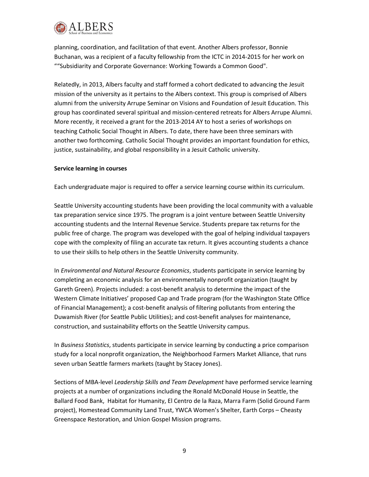

planning, coordination, and facilitation of that event. Another Albers professor, Bonnie Buchanan, was a recipient of a faculty fellowship from the ICTC in 2014-2015 for her work on ""Subsidiarity and Corporate Governance: Working Towards a Common Good".

Relatedly, in 2013, Albers faculty and staff formed a cohort dedicated to advancing the Jesuit mission of the university as it pertains to the Albers context. This group is comprised of Albers alumni from the university Arrupe Seminar on Visions and Foundation of Jesuit Education. This group has coordinated several spiritual and mission-centered retreats for Albers Arrupe Alumni. More recently, it received a grant for the 2013-2014 AY to host a series of workshops on teaching Catholic Social Thought in Albers. To date, there have been three seminars with another two forthcoming. Catholic Social Thought provides an important foundation for ethics, justice, sustainability, and global responsibility in a Jesuit Catholic university.

### **Service learning in courses**

Each undergraduate major is required to offer a service learning course within its curriculum.

Seattle University accounting students have been providing the local community with a valuable tax preparation service since 1975. The program is a joint venture between Seattle University accounting students and the Internal Revenue Service. Students prepare tax returns for the public free of charge. The program was developed with the goal of helping individual taxpayers cope with the complexity of filing an accurate tax return. It gives accounting students a chance to use their skills to help others in the Seattle University community.

In *Environmental and Natural Resource Economics*, students participate in service learning by completing an economic analysis for an environmentally nonprofit organization (taught by Gareth Green). Projects included: a cost-benefit analysis to determine the impact of the Western Climate Initiatives' proposed Cap and Trade program (for the Washington State Office of Financial Management); a cost-benefit analysis of filtering pollutants from entering the Duwamish River (for Seattle Public Utilities); and cost-benefit analyses for maintenance, construction, and sustainability efforts on the Seattle University campus.

In *Business Statistics*, students participate in service learning by conducting a price comparison study for a local nonprofit organization, the Neighborhood Farmers Market Alliance, that runs seven urban Seattle farmers markets (taught by Stacey Jones).

Sections of MBA-level *Leadership Skills and Team Development* have performed service learning projects at a number of organizations including the Ronald McDonald House in Seattle, the Ballard Food Bank, Habitat for Humanity, El Centro de la Raza, Marra Farm (Solid Ground Farm project), Homestead Community Land Trust, YWCA Women's Shelter, Earth Corps – Cheasty Greenspace Restoration, and Union Gospel Mission programs.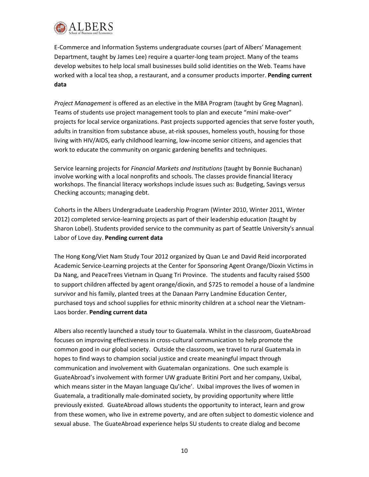

E-Commerce and Information Systems undergraduate courses (part of Albers' Management Department, taught by James Lee) require a quarter-long team project. Many of the teams develop websites to help local small businesses build solid identities on the Web. Teams have worked with a local tea shop, a restaurant, and a consumer products importer. **Pending current data**

*Project Management* is offered as an elective in the MBA Program (taught by Greg Magnan). Teams of students use project management tools to plan and execute "mini make-over" projects for local service organizations. Past projects supported agencies that serve foster youth, adults in transition from substance abuse, at-risk spouses, homeless youth, housing for those living with HIV/AIDS, early childhood learning, low-income senior citizens, and agencies that work to educate the community on organic gardening benefits and techniques.

Service learning projects for *Financial Markets and Institutions* (taught by Bonnie Buchanan) involve working with a local nonprofits and schools. The classes provide financial literacy workshops. The financial literacy workshops include issues such as: Budgeting, Savings versus Checking accounts; managing debt.

Cohorts in the Albers Undergraduate Leadership Program (Winter 2010, Winter 2011, Winter 2012) completed service-learning projects as part of their leadership education (taught by Sharon Lobel). Students provided service to the community as part of Seattle University's annual Labor of Love day. **Pending current data**

The Hong Kong/Viet Nam Study Tour 2012 organized by Quan Le and David Reid incorporated Academic Service-Learning projects at the Center for Sponsoring Agent Orange/Dioxin Victims in Da Nang, and PeaceTrees Vietnam in Quang Tri Province. The students and faculty raised \$500 to support children affected by agent orange/dioxin, and \$725 to remodel a house of a landmine survivor and his family, planted trees at the Danaan Parry Landmine Education Center, purchased toys and school supplies for ethnic minority children at a school near the Vietnam-Laos border. **Pending current data**

Albers also recently launched a study tour to Guatemala. Whilst in the classroom, GuateAbroad focuses on improving effectiveness in cross-cultural communication to help promote the common good in our global society. Outside the classroom, we travel to rural Guatemala in hopes to find ways to champion social justice and create meaningful impact through communication and involvement with Guatemalan organizations. One such example is GuateAbroad's involvement with former UW graduate Britini Port and her company, Uxibal, which means sister in the Mayan language Qu'iche'. Uxibal improves the lives of women in Guatemala, a traditionally male-dominated society, by providing opportunity where little previously existed. GuateAbroad allows students the opportunity to interact, learn and grow from these women, who live in extreme poverty, and are often subject to domestic violence and sexual abuse. The GuateAbroad experience helps SU students to create dialog and become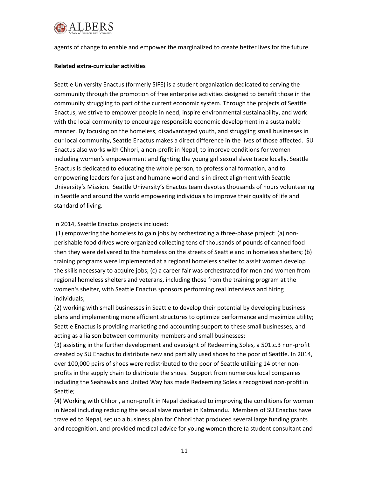

agents of change to enable and empower the marginalized to create better lives for the future.

#### **Related extra-curricular activities**

Seattle University Enactus (formerly SIFE) is a student organization dedicated to serving the community through the promotion of free enterprise activities designed to benefit those in the community struggling to part of the current economic system. Through the projects of Seattle Enactus, we strive to empower people in need, inspire environmental sustainability, and work with the local community to encourage responsible economic development in a sustainable manner. By focusing on the homeless, disadvantaged youth, and struggling small businesses in our local community, Seattle Enactus makes a direct difference in the lives of those affected. SU Enactus also works with Chhori, a non-profit in Nepal, to improve conditions for women including women's empowerment and fighting the young girl sexual slave trade locally. Seattle Enactus is dedicated to educating the whole person, to professional formation, and to empowering leaders for a just and humane world and is in direct alignment with Seattle University's Mission. Seattle University's Enactus team devotes thousands of hours volunteering in Seattle and around the world empowering individuals to improve their quality of life and standard of living.

### In 2014, Seattle Enactus projects included:

(1) empowering the homeless to gain jobs by orchestrating a three-phase project: (a) nonperishable food drives were organized collecting tens of thousands of pounds of canned food then they were delivered to the homeless on the streets of Seattle and in homeless shelters; (b) training programs were implemented at a regional homeless shelter to assist women develop the skills necessary to acquire jobs; (c) a career fair was orchestrated for men and women from regional homeless shelters and veterans, including those from the training program at the women's shelter, with Seattle Enactus sponsors performing real interviews and hiring individuals;

(2) working with small businesses in Seattle to develop their potential by developing business plans and implementing more efficient structures to optimize performance and maximize utility; Seattle Enactus is providing marketing and accounting support to these small businesses, and acting as a liaison between community members and small businesses;

(3) assisting in the further development and oversight of Redeeming Soles, a 501.c.3 non-profit created by SU Enactus to distribute new and partially used shoes to the poor of Seattle. In 2014, over 100,000 pairs of shoes were redistributed to the poor of Seattle utilizing 14 other nonprofits in the supply chain to distribute the shoes. Support from numerous local companies including the Seahawks and United Way has made Redeeming Soles a recognized non-profit in Seattle;

(4) Working with Chhori, a non-profit in Nepal dedicated to improving the conditions for women in Nepal including reducing the sexual slave market in Katmandu. Members of SU Enactus have traveled to Nepal, set up a business plan for Chhori that produced several large funding grants and recognition, and provided medical advice for young women there (a student consultant and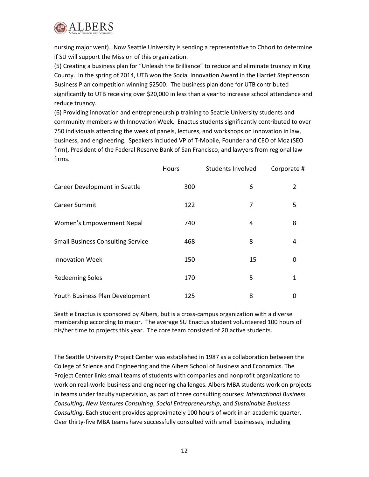

nursing major went). Now Seattle University is sending a representative to Chhori to determine if SU will support the Mission of this organization.

(5) Creating a business plan for "Unleash the Brilliance" to reduce and eliminate truancy in King County. In the spring of 2014, UTB won the Social Innovation Award in the Harriet Stephenson Business Plan competition winning \$2500. The business plan done for UTB contributed significantly to UTB receiving over \$20,000 in less than a year to increase school attendance and reduce truancy.

(6) Providing innovation and entrepreneurship training to Seattle University students and community members with Innovation Week. Enactus students significantly contributed to over 750 individuals attending the week of panels, lectures, and workshops on innovation in law, business, and engineering. Speakers included VP of T-Mobile, Founder and CEO of Moz (SEO firm), President of the Federal Reserve Bank of San Francisco, and lawyers from regional law firms.

|                                          | Hours | <b>Students Involved</b> | Corporate # |
|------------------------------------------|-------|--------------------------|-------------|
| Career Development in Seattle            | 300   | 6                        | 2           |
| <b>Career Summit</b>                     | 122   | 7                        | 5           |
| Women's Empowerment Nepal                | 740   | 4                        | 8           |
| <b>Small Business Consulting Service</b> | 468   | 8                        | 4           |
| <b>Innovation Week</b>                   | 150   | 15                       | 0           |
| <b>Redeeming Soles</b>                   | 170   | 5                        | 1           |
| Youth Business Plan Development          | 125   | 8                        |             |

Seattle Enactus is sponsored by Albers, but is a cross-campus organization with a diverse membership according to major. The average SU Enactus student volunteered 100 hours of his/her time to projects this year. The core team consisted of 20 active students.

The Seattle University Project Center was established in 1987 as a collaboration between the College of Science and Engineering and the Albers School of Business and Economics. The Project Center links small teams of students with companies and nonprofit organizations to work on real-world business and engineering challenges. Albers MBA students work on projects in teams under faculty supervision, as part of three consulting courses: *International Business Consulting*, *New Ventures Consulting*, *Social Entrepreneurship*, and *Sustainable Business Consulting*. Each student provides approximately 100 hours of work in an academic quarter. Over thirty-five MBA teams have successfully consulted with small businesses, including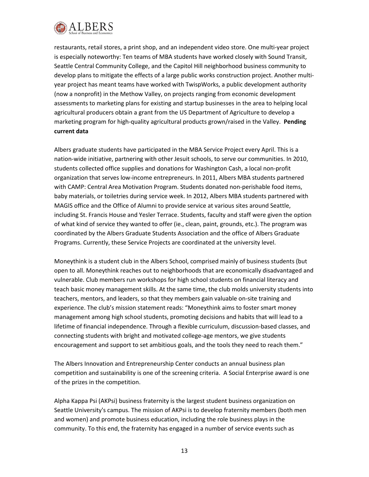

restaurants, retail stores, a print shop, and an independent video store. One multi-year project is especially noteworthy: Ten teams of MBA students have worked closely with Sound Transit, Seattle Central Community College, and the Capitol Hill neighborhood business community to develop plans to mitigate the effects of a large public works construction project. Another multiyear project has meant teams have worked with TwispWorks, a public development authority (now a nonprofit) in the Methow Valley, on projects ranging from economic development assessments to marketing plans for existing and startup businesses in the area to helping local agricultural producers obtain a grant from the US Department of Agriculture to develop a marketing program for high-quality agricultural products grown/raised in the Valley. **Pending current data**

Albers graduate students have participated in the MBA Service Project every April. This is a nation-wide initiative, partnering with other Jesuit schools, to serve our communities. In 2010, students collected office supplies and donations for Washington Cash, a local non-profit organization that serves low-income entrepreneurs. In 2011, Albers MBA students partnered with CAMP: Central Area Motivation Program. Students donated non-perishable food items, baby materials, or toiletries during service week. In 2012, Albers MBA students partnered with MAGIS office and the Office of Alumni to provide service at various sites around Seattle, including St. Francis House and Yesler Terrace. Students, faculty and staff were given the option of what kind of service they wanted to offer (ie., clean, paint, grounds, etc.). The program was coordinated by the Albers Graduate Students Association and the office of Albers Graduate Programs. Currently, these Service Projects are coordinated at the university level.

Moneythink is a student club in the Albers School, comprised mainly of business students (but open to all. Moneythink reaches out to neighborhoods that are economically disadvantaged and vulnerable. Club members run workshops for high school students on financial literacy and teach basic money management skills. At the same time, the club molds university students into teachers, mentors, and leaders, so that they members gain valuable on-site training and experience. The club's mission statement reads: "Moneythink aims to foster smart money management among high school students, promoting decisions and habits that will lead to a lifetime of financial independence. Through a flexible curriculum, discussion-based classes, and connecting students with bright and motivated college-age mentors, we give students encouragement and support to set ambitious goals, and the tools they need to reach them."

The Albers Innovation and Entrepreneurship Center conducts an annual business plan competition and sustainability is one of the screening criteria. A Social Enterprise award is one of the prizes in the competition.

Alpha Kappa Psi (AKPsi) business fraternity is the largest student business organization on Seattle University's campus. The mission of AKPsi is to develop fraternity members (both men and women) and promote business education, including the role business plays in the community. To this end, the fraternity has engaged in a number of service events such as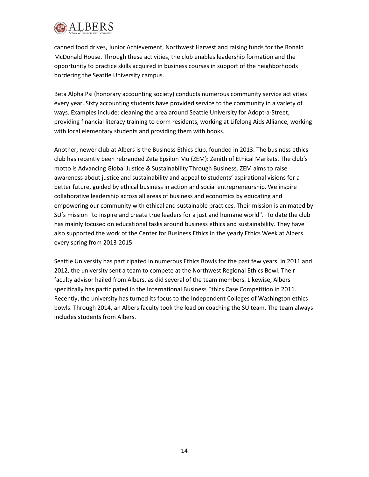

canned food drives, Junior Achievement, Northwest Harvest and raising funds for the Ronald McDonald House. Through these activities, the club enables leadership formation and the opportunity to practice skills acquired in business courses in support of the neighborhoods bordering the Seattle University campus.

Beta Alpha Psi (honorary accounting society) conducts numerous community service activities every year. Sixty accounting students have provided service to the community in a variety of ways. Examples include: cleaning the area around Seattle University for Adopt-a-Street, providing financial literacy training to dorm residents, working at Lifelong Aids Alliance, working with local elementary students and providing them with books.

Another, newer club at Albers is the Business Ethics club, founded in 2013. The business ethics club has recently been rebranded Zeta Epsilon Mu (ZEM): Zenith of Ethical Markets. The club's motto is Advancing Global Justice & Sustainability Through Business. ZEM aims to raise awareness about justice and sustainability and appeal to students' aspirational visions for a better future, guided by ethical business in action and social entrepreneurship. We inspire collaborative leadership across all areas of business and economics by educating and empowering our community with ethical and sustainable practices. Their mission is animated by SU's mission "to inspire and create true leaders for a just and humane world". To date the club has mainly focused on educational tasks around business ethics and sustainability. They have also supported the work of the Center for Business Ethics in the yearly Ethics Week at Albers every spring from 2013-2015.

Seattle University has participated in numerous Ethics Bowls for the past few years. In 2011 and 2012, the university sent a team to compete at the Northwest Regional Ethics Bowl. Their faculty advisor hailed from Albers, as did several of the team members. Likewise, Albers specifically has participated in the International Business Ethics Case Competition in 2011. Recently, the university has turned its focus to the Independent Colleges of Washington ethics bowls. Through 2014, an Albers faculty took the lead on coaching the SU team. The team always includes students from Albers.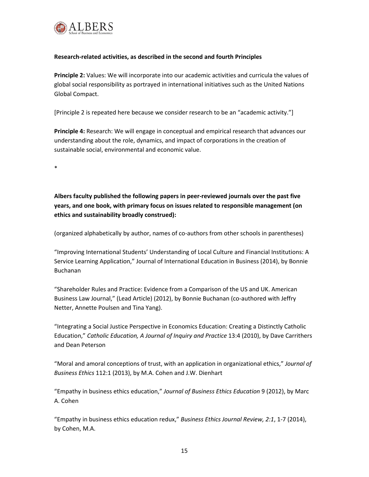

## **Research-related activities, as described in the second and fourth Principles**

**Principle 2:** Values: We will incorporate into our academic activities and curricula the values of global social responsibility as portrayed in international initiatives such as the United Nations Global Compact.

[Principle 2 is repeated here because we consider research to be an "academic activity."]

**Principle 4:** Research: We will engage in conceptual and empirical research that advances our understanding about the role, dynamics, and impact of corporations in the creation of sustainable social, environmental and economic value.

\*

**Albers faculty published the following papers in peer-reviewed journals over the past five years, and one book, with primary focus on issues related to responsible management (on ethics and sustainability broadly construed):**

(organized alphabetically by author, names of co-authors from other schools in parentheses)

"Improving International Students' Understanding of Local Culture and Financial Institutions: A Service Learning Application," Journal of International Education in Business (2014), by Bonnie Buchanan

"Shareholder Rules and Practice: Evidence from a Comparison of the US and UK. American Business Law Journal," (Lead Article) (2012), by Bonnie Buchanan (co-authored with Jeffry Netter, Annette Poulsen and Tina Yang).

"Integrating a Social Justice Perspective in Economics Education: Creating a Distinctly Catholic Education," *Catholic Education, A Journal of Inquiry and Practice* 13:4 (2010), by Dave Carrithers and Dean Peterson

"Moral and amoral conceptions of trust, with an application in organizational ethics," *Journal of Business Ethics* 112:1 (2013), by M.A. Cohen and J.W. Dienhart

"Empathy in business ethics education," *Journal of Business Ethics Education* 9 (2012), by Marc A. Cohen

"Empathy in business ethics education redux," *Business Ethics Journal Review, 2:1*, 1-7 (2014), by Cohen, M.A.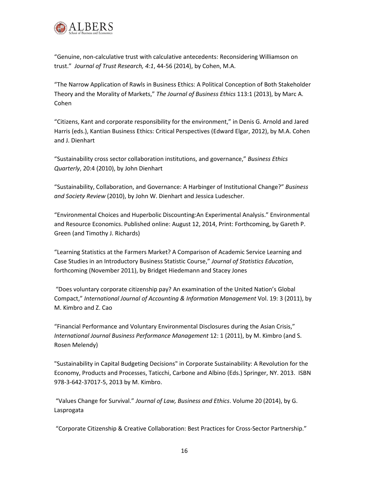

"Genuine, non-calculative trust with calculative antecedents: Reconsidering Williamson on trust." *Journal of Trust Research, 4:1*, 44-56 (2014), by Cohen, M.A.

"The Narrow Application of Rawls in Business Ethics: A Political Conception of Both Stakeholder Theory and the Morality of Markets," *The Journal of Business Ethics* 113:1 (2013), by Marc A. Cohen

"Citizens, Kant and corporate responsibility for the environment," in Denis G. Arnold and Jared Harris (eds.), Kantian Business Ethics: Critical Perspectives (Edward Elgar, 2012), by M.A. Cohen and J. Dienhart

"Sustainability cross sector collaboration institutions, and governance," *Business Ethics Quarterly*, 20:4 (2010), by John Dienhart

"Sustainability, Collaboration, and Governance: A Harbinger of Institutional Change?" *Business and Society Review* (2010), by John W. Dienhart and Jessica Ludescher.

"Environmental Choices and Huperbolic Discounting:An Experimental Analysis." Environmental and Resource Economics. Published online: August 12, 2014, Print: Forthcoming, by Gareth P. Green (and Timothy J. Richards)

"Learning Statistics at the Farmers Market? A Comparison of Academic Service Learning and Case Studies in an Introductory Business Statistic Course," *Journal of Statistics Education*, forthcoming (November 2011), by Bridget Hiedemann and Stacey Jones

"Does voluntary corporate citizenship pay? An examination of the United Nation's Global Compact," *International Journal of Accounting & Information Management* Vol. 19: 3 (2011), by M. Kimbro and Z. Cao

"Financial Performance and Voluntary Environmental Disclosures during the Asian Crisis," *International Journal Business Performance Management* 12: 1 (2011), by M. Kimbro (and S. Rosen Melendy)

"Sustainability in Capital Budgeting Decisions" in Corporate Sustainability: A Revolution for the Economy, Products and Processes, Taticchi, Carbone and Albino (Eds.) Springer, NY. 2013. ISBN 978-3-642-37017-5, 2013 by M. Kimbro.

"Values Change for Survival." *Journal of Law, Business and Ethics*. Volume 20 (2014), by G. Lasprogata

"Corporate Citizenship & Creative Collaboration: Best Practices for Cross-Sector Partnership."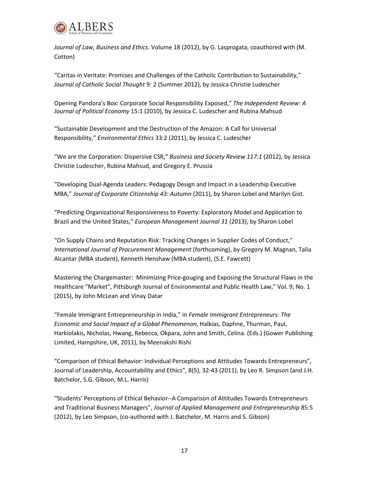

*Journal of Law, Business and Ethics*. Volume 18 (2012), by G. Lasprogata, coauthored with (M. Cotton)

"Caritas in Veritate: Promises and Challenges of the Catholic Contribution to Sustainability," *Journal of Catholic Social Thought* 9: 2 (Summer 2012), by Jessica Christie Ludescher

Opening Pandora's Box: Corporate Social Responsibility Exposed," *The Independent Review: A Journal of Political Economy* 15:1 (2010), by Jessica C. Ludescher and Rubina Mahsud

"Sustainable Development and the Destruction of the Amazon: A Call for Universal Responsibility," *Environmental Ethics* 33:2 (2011), by Jessica C. Ludescher

"We are the Corporation: Dispersive CSR," *Business and Society Review 117:1* (2012), by Jessica Christie Ludescher, Rubina Mahsud, and Gregory E. Prussia

"Developing Dual-Agenda Leaders: Pedagogy Design and Impact in a Leadership Executive MBA," *Journal of Corporate Citizenship 43: Autumn* (2011), by Sharon Lobel and Marilyn Gist.

"Predicting Organizational Responsiveness to Poverty: Exploratory Model and Application to Brazil and the United States," *European Management Journal 31* (2013), by Sharon Lobel

"On Supply Chains and Reputation Risk: Tracking Changes in Supplier Codes of Conduct," *International Journal of Procurement Management* (forthcoming), by Gregory M. Magnan, Talia Alcantar (MBA student), Kenneth Henshaw (MBA student), (S.E. Fawcett)

Mastering the Chargemaster: Minimizing Price-gouging and Exposing the Structural Flaws in the Healthcare "Market", Pittsburgh Journal of Environmental and Public Health Law," Vol. 9, No. 1 (2015), by John McLean and Vinay Datar

"Female Immigrant Entrepreneurship in India," in *Female Immigrant Entrepreneurs: The Economic and Social Impact of a Global Phenomenon*, Halkias, Daphne, Thurman, Paul, Harkiolakis, Nicholas, Hwang, Rebecca, Okpara, John and Smith, Celina. (Eds.) (Gower Publishing Limited, Hampshire, UK, 2011), by Meenakshi Rishi

"Comparison of Ethical Behavior: Individual Perceptions and Attitudes Towards Entrepreneurs", Journal of Leadership, Accountability and Ethics", 8(5), 32-43 (2011), by Leo R. Simpson (and J.H. Batchelor, S.G. Gibson, M.L. Harris)

"Students' Perceptions of Ethical Behavior--A Comparison of Attitudes Towards Entrepreneurs and Traditional Business Managers", *Journal of Applied Management and Entrepreneurship* 85:5 (2012), by Leo Simpson, (co-authored with J. Batchelor, M. Harris and S. Gibson)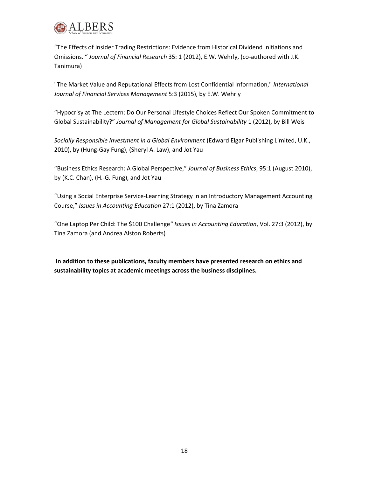

"The Effects of Insider Trading Restrictions: Evidence from Historical Dividend Initiations and Omissions. " *Journal of Financial Research* 35: 1 (2012), E.W. Wehrly, (co-authored with J.K. Tanimura)

"The Market Value and Reputational Effects from Lost Confidential Information," *International Journal of Financial Services Management* 5:3 (2015), by E.W. Wehrly

"Hypocrisy at The Lectern: Do Our Personal Lifestyle Choices Reflect Our Spoken Commitment to Global Sustainability?" *Journal of Management for Global Sustainability* 1 (2012), by Bill Weis

*Socially Responsible Investment in a Global Environment* (Edward Elgar Publishing Limited, U.K., 2010), by (Hung-Gay Fung), (Sheryl A. Law), and Jot Yau

"Business Ethics Research: A Global Perspective," *Journal of Business Ethics*, 95:1 (August 2010), by (K.C. Chan), (H.-G. Fung), and Jot Yau

"Using a Social Enterprise Service-Learning Strategy in an Introductory Management Accounting Course," *Issues in Accounting Education* 27:1 (2012), by Tina Zamora

"One Laptop Per Child: The \$100 Challenge*" Issues in Accounting Education*, Vol. 27:3 (2012), by Tina Zamora (and Andrea Alston Roberts)

**In addition to these publications, faculty members have presented research on ethics and sustainability topics at academic meetings across the business disciplines.**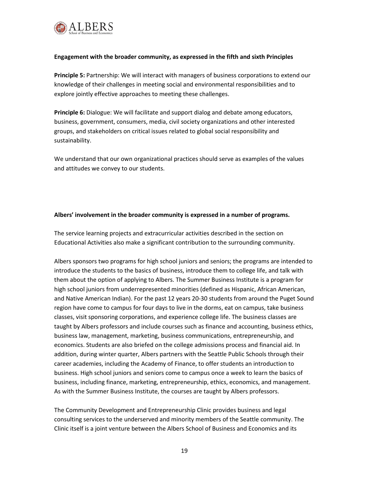

## **Engagement with the broader community, as expressed in the fifth and sixth Principles**

**Principle 5:** Partnership: We will interact with managers of business corporations to extend our knowledge of their challenges in meeting social and environmental responsibilities and to explore jointly effective approaches to meeting these challenges.

**Principle 6:** Dialogue: We will facilitate and support dialog and debate among educators, business, government, consumers, media, civil society organizations and other interested groups, and stakeholders on critical issues related to global social responsibility and sustainability.

We understand that our own organizational practices should serve as examples of the values and attitudes we convey to our students.

### **Albers' involvement in the broader community is expressed in a number of programs.**

The service learning projects and extracurricular activities described in the section on Educational Activities also make a significant contribution to the surrounding community.

Albers sponsors two programs for high school juniors and seniors; the programs are intended to introduce the students to the basics of business, introduce them to college life, and talk with them about the option of applying to Albers. The Summer Business Institute is a program for high school juniors from underrepresented minorities (defined as Hispanic, African American, and Native American Indian). For the past 12 years 20-30 students from around the Puget Sound region have come to campus for four days to live in the dorms, eat on campus, take business classes, visit sponsoring corporations, and experience college life. The business classes are taught by Albers professors and include courses such as finance and accounting, business ethics, business law, management, marketing, business communications, entrepreneurship, and economics. Students are also briefed on the college admissions process and financial aid. In addition, during winter quarter, Albers partners with the Seattle Public Schools through their career academies, including the Academy of Finance, to offer students an introduction to business. High school juniors and seniors come to campus once a week to learn the basics of business, including finance, marketing, entrepreneurship, ethics, economics, and management. As with the Summer Business Institute, the courses are taught by Albers professors.

The Community Development and Entrepreneurship Clinic provides business and legal consulting services to the underserved and minority members of the Seattle community. The Clinic itself is a joint venture between the Albers School of Business and Economics and its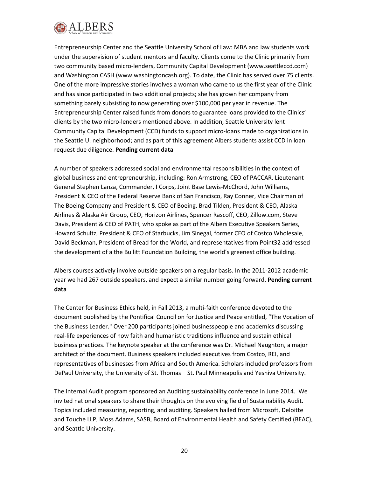

Entrepreneurship Center and the Seattle University School of Law: MBA and law students work under the supervision of student mentors and faculty. Clients come to the Clinic primarily from two community based micro-lenders, Community Capital Development (www.seattleccd.com) and Washington CASH (www.washingtoncash.org). To date, the Clinic has served over 75 clients. One of the more impressive stories involves a woman who came to us the first year of the Clinic and has since participated in two additional projects; she has grown her company from something barely subsisting to now generating over \$100,000 per year in revenue. The Entrepreneurship Center raised funds from donors to guarantee loans provided to the Clinics' clients by the two micro-lenders mentioned above. In addition, Seattle University lent Community Capital Development (CCD) funds to support micro-loans made to organizations in the Seattle U. neighborhood; and as part of this agreement Albers students assist CCD in loan request due diligence. **Pending current data**

A number of speakers addressed social and environmental responsibilities in the context of global business and entrepreneurship, including: Ron Armstrong, CEO of PACCAR, Lieutenant General Stephen Lanza, Commander, I Corps, Joint Base Lewis-McChord, John Williams, President & CEO of the Federal Reserve Bank of San Francisco, Ray Conner, Vice Chairman of The Boeing Company and President & CEO of Boeing, Brad Tilden, President & CEO, Alaska Airlines & Alaska Air Group, CEO, Horizon Airlines, Spencer Rascoff, CEO, Zillow.com, Steve Davis, President & CEO of PATH, who spoke as part of the Albers Executive Speakers Series, Howard Schultz, President & CEO of Starbucks, Jim Sinegal, former CEO of Costco Wholesale, David Beckman, President of Bread for the World, and representatives from Point32 addressed the development of a the Bullitt Foundation Building, the world's greenest office building.

Albers courses actively involve outside speakers on a regular basis. In the 2011-2012 academic year we had 267 outside speakers, and expect a similar number going forward. **Pending current data**

The Center for Business Ethics held, in Fall 2013, a multi-faith conference devoted to the document published by the Pontifical Council on for Justice and Peace entitled, "The Vocation of the Business Leader." Over 200 participants joined businesspeople and academics discussing real-life experiences of how faith and humanistic traditions influence and sustain ethical business practices. The keynote speaker at the conference was Dr. Michael Naughton, a major architect of the document. Business speakers included executives from Costco, REI, and representatives of businesses from Africa and South America. Scholars included professors from DePaul University, the University of St. Thomas – St. Paul Minneapolis and Yeshiva University.

The Internal Audit program sponsored an Auditing sustainability conference in June 2014. We invited national speakers to share their thoughts on the evolving field of Sustainability Audit. Topics included measuring, reporting, and auditing. Speakers hailed from Microsoft, Deloitte and Touche LLP, Moss Adams, SASB, Board of Environmental Health and Safety Certified (BEAC), and Seattle University.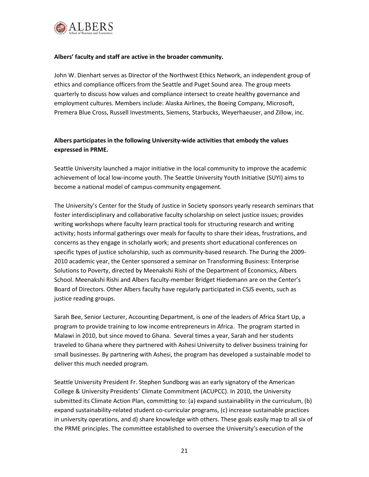

## **Albers' faculty and staff are active in the broader community.**

John W. Dienhart serves as Director of the Northwest Ethics Network, an independent group of ethics and compliance officers from the Seattle and Puget Sound area. The group meets quarterly to discuss how values and compliance intersect to create healthy governance and employment cultures. Members include: Alaska Airlines, the Boeing Company, Microsoft, Premera Blue Cross, Russell Investments, Siemens, Starbucks, Weyerhaeuser, and Zillow, inc.

# **Albers participates in the following University-wide activities that embody the values expressed in PRME.**

Seattle University launched a major initiative in the local community to improve the academic achievement of local low-income youth. The Seattle University Youth Initiative (SUYI) aims to become a national model of campus-community engagement.

The University's Center for the Study of Justice in Society sponsors yearly research seminars that foster interdisciplinary and collaborative faculty scholarship on select justice issues; provides writing workshops where faculty learn practical tools for structuring research and writing activity; hosts informal gatherings over meals for faculty to share their ideas, frustrations, and concerns as they engage in scholarly work; and presents short educational conferences on specific types of justice scholarship, such as community-based research. The During the 2009- 2010 academic year, the Center sponsored a seminar on Transforming Business: Enterprise Solutions to Poverty, directed by Meenakshi Rishi of the Department of Economics, Albers School. Meenakshi Rishi and Albers faculty-member Bridget Hiedemann are on the Center's Board of Directors. Other Albers faculty have regularly participated in CSJS events, such as justice reading groups.

Sarah Bee, Senior Lecturer, Accounting Department, is one of the leaders of Africa Start Up, a program to provide training to low income entrepreneurs in Africa. The program started in Malawi in 2010, but since moved to Ghana. Several times a year, Sarah and her students traveled to Ghana where they partnered with Ashesi University to deliver business training for small businesses. By partnering with Ashesi, the program has developed a sustainable model to deliver this much needed program.

Seattle University President Fr. Stephen Sundborg was an early signatory of the American College & University Presidents' Climate Commitment (ACUPCC). In 2010, the University submitted its Climate Action Plan, committing to: (a) expand sustainability in the curriculum, (b) expand sustainability-related student co-curricular programs, (c) increase sustainable practices in university operations, and d) share knowledge with others. These goals easily map to all six of the PRME principles. The committee established to oversee the University's execution of the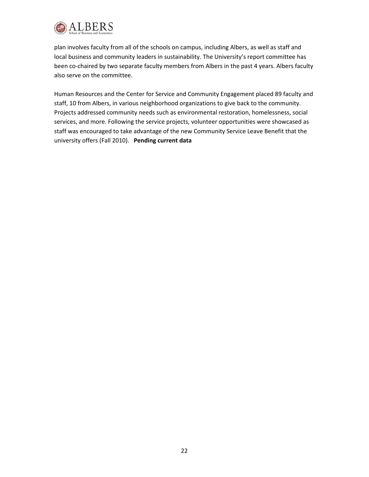

plan involves faculty from all of the schools on campus, including Albers, as well as staff and local business and community leaders in sustainability. The University's report committee has been co-chaired by two separate faculty members from Albers in the past 4 years. Albers faculty also serve on the committee.

Human Resources and the Center for Service and Community Engagement placed 89 faculty and staff, 10 from Albers, in various neighborhood organizations to give back to the community. Projects addressed community needs such as environmental restoration, homelessness, social services, and more. Following the service projects, volunteer opportunities were showcased as staff was encouraged to take advantage of the new Community Service Leave Benefit that the university offers (Fall 2010). **Pending current data**